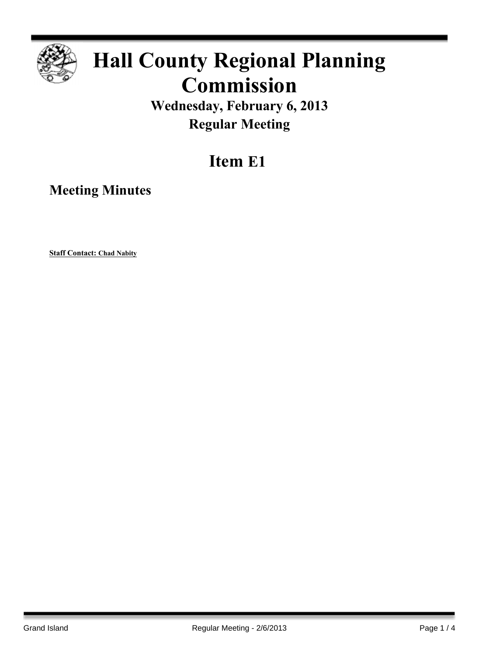

# **Hall County Regional Planning Commission**

**Wednesday, February 6, 2013 Regular Meeting**

## **Item E1**

**Meeting Minutes**

**Staff Contact: Chad Nabity**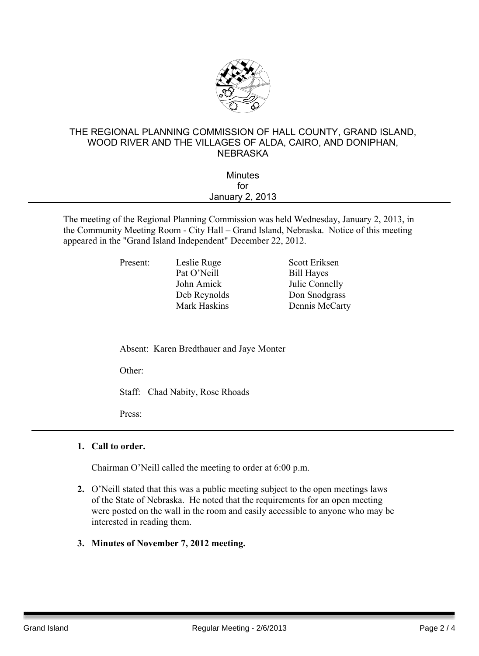

### THE REGIONAL PLANNING COMMISSION OF HALL COUNTY, GRAND ISLAND, WOOD RIVER AND THE VILLAGES OF ALDA, CAIRO, AND DONIPHAN, **NEBRASKA**

| <b>Minutes</b>  |  |
|-----------------|--|
| for             |  |
| January 2, 2013 |  |
|                 |  |

The meeting of the Regional Planning Commission was held Wednesday, January 2, 2013, in the Community Meeting Room - City Hall – Grand Island, Nebraska. Notice of this meeting appeared in the "Grand Island Independent" December 22, 2012.

| Leslie Ruge  | Scott Eriksen     |
|--------------|-------------------|
| Pat O'Neill  | <b>Bill Hayes</b> |
| John Amick   | Julie Connelly    |
| Deb Reynolds | Don Snodgras      |
| Mark Haskins | Dennis McCa       |
|              |                   |

**Bill Hayes** Iulie Connelly lds Don Snodgrass Ins Dennis McCarty

Absent: Karen Bredthauer and Jaye Monter

Other:

Staff: Chad Nabity, Rose Rhoads

Press:

#### **1. Call to order.**

Chairman O'Neill called the meeting to order at 6:00 p.m.

- **2.** O'Neill stated that this was a public meeting subject to the open meetings laws of the State of Nebraska. He noted that the requirements for an open meeting were posted on the wall in the room and easily accessible to anyone who may be interested in reading them.
- **3. Minutes of November 7, 2012 meeting.**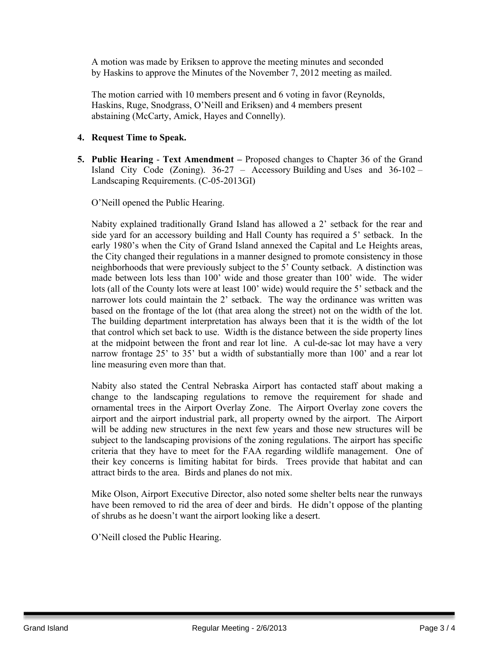A motion was made by Eriksen to approve the meeting minutes and seconded by Haskins to approve the Minutes of the November 7, 2012 meeting as mailed.

The motion carried with 10 members present and 6 voting in favor (Reynolds, Haskins, Ruge, Snodgrass, O'Neill and Eriksen) and 4 members present abstaining (McCarty, Amick, Hayes and Connelly).

#### **4. Request Time to Speak.**

**5. Public Hearing** - **Text Amendment –** Proposed changes to Chapter 36 of the Grand Island City Code (Zoning).  $36-27$  – Accessory Building and Uses and  $36-102$  – Landscaping Requirements. (C-05-2013GI)

O'Neill opened the Public Hearing.

Nabity explained traditionally Grand Island has allowed a 2' setback for the rear and side yard for an accessory building and Hall County has required a 5' setback. In the early 1980's when the City of Grand Island annexed the Capital and Le Heights areas, the City changed their regulations in a manner designed to promote consistency in those neighborhoods that were previously subject to the 5' County setback. A distinction was made between lots less than 100' wide and those greater than 100' wide. The wider lots (all of the County lots were at least 100' wide) would require the 5' setback and the narrower lots could maintain the 2' setback. The way the ordinance was written was based on the frontage of the lot (that area along the street) not on the width of the lot. The building department interpretation has always been that it is the width of the lot that control which set back to use. Width is the distance between the side property lines at the midpoint between the front and rear lot line. A cul-de-sac lot may have a very narrow frontage 25' to 35' but a width of substantially more than 100' and a rear lot line measuring even more than that.

Nabity also stated the Central Nebraska Airport has contacted staff about making a change to the landscaping regulations to remove the requirement for shade and ornamental trees in the Airport Overlay Zone. The Airport Overlay zone covers the airport and the airport industrial park, all property owned by the airport. The Airport will be adding new structures in the next few years and those new structures will be subject to the landscaping provisions of the zoning regulations. The airport has specific criteria that they have to meet for the FAA regarding wildlife management. One of their key concerns is limiting habitat for birds. Trees provide that habitat and can attract birds to the area. Birds and planes do not mix.

Mike Olson, Airport Executive Director, also noted some shelter belts near the runways have been removed to rid the area of deer and birds. He didn't oppose of the planting of shrubs as he doesn't want the airport looking like a desert.

O'Neill closed the Public Hearing.